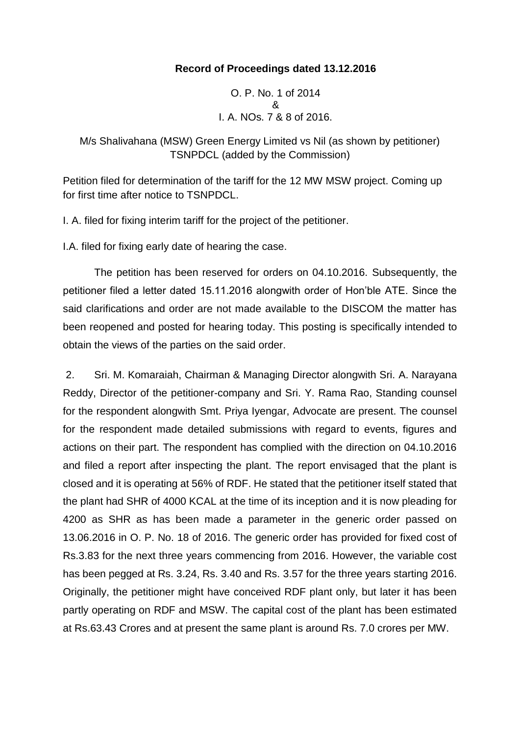## **Record of Proceedings dated 13.12.2016**

O. P. No. 1 of 2014 & I. A. NOs. 7 & 8 of 2016.

M/s Shalivahana (MSW) Green Energy Limited vs Nil (as shown by petitioner) TSNPDCL (added by the Commission)

Petition filed for determination of the tariff for the 12 MW MSW project. Coming up for first time after notice to TSNPDCL.

I. A. filed for fixing interim tariff for the project of the petitioner.

I.A. filed for fixing early date of hearing the case.

The petition has been reserved for orders on 04.10.2016. Subsequently, the petitioner filed a letter dated 15.11.2016 alongwith order of Hon'ble ATE. Since the said clarifications and order are not made available to the DISCOM the matter has been reopened and posted for hearing today. This posting is specifically intended to obtain the views of the parties on the said order.

2. Sri. M. Komaraiah, Chairman & Managing Director alongwith Sri. A. Narayana Reddy, Director of the petitioner-company and Sri. Y. Rama Rao, Standing counsel for the respondent alongwith Smt. Priya Iyengar, Advocate are present. The counsel for the respondent made detailed submissions with regard to events, figures and actions on their part. The respondent has complied with the direction on 04.10.2016 and filed a report after inspecting the plant. The report envisaged that the plant is closed and it is operating at 56% of RDF. He stated that the petitioner itself stated that the plant had SHR of 4000 KCAL at the time of its inception and it is now pleading for 4200 as SHR as has been made a parameter in the generic order passed on 13.06.2016 in O. P. No. 18 of 2016. The generic order has provided for fixed cost of Rs.3.83 for the next three years commencing from 2016. However, the variable cost has been pegged at Rs. 3.24, Rs. 3.40 and Rs. 3.57 for the three years starting 2016. Originally, the petitioner might have conceived RDF plant only, but later it has been partly operating on RDF and MSW. The capital cost of the plant has been estimated at Rs.63.43 Crores and at present the same plant is around Rs. 7.0 crores per MW.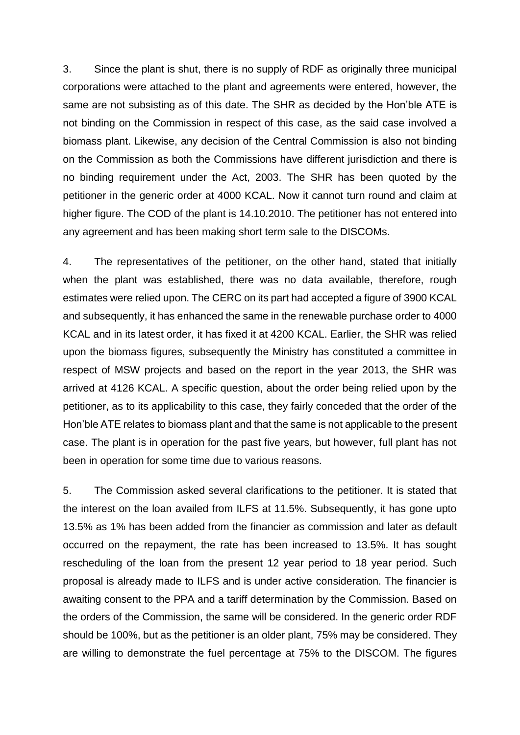3. Since the plant is shut, there is no supply of RDF as originally three municipal corporations were attached to the plant and agreements were entered, however, the same are not subsisting as of this date. The SHR as decided by the Hon'ble ATE is not binding on the Commission in respect of this case, as the said case involved a biomass plant. Likewise, any decision of the Central Commission is also not binding on the Commission as both the Commissions have different jurisdiction and there is no binding requirement under the Act, 2003. The SHR has been quoted by the petitioner in the generic order at 4000 KCAL. Now it cannot turn round and claim at higher figure. The COD of the plant is 14.10.2010. The petitioner has not entered into any agreement and has been making short term sale to the DISCOMs.

4. The representatives of the petitioner, on the other hand, stated that initially when the plant was established, there was no data available, therefore, rough estimates were relied upon. The CERC on its part had accepted a figure of 3900 KCAL and subsequently, it has enhanced the same in the renewable purchase order to 4000 KCAL and in its latest order, it has fixed it at 4200 KCAL. Earlier, the SHR was relied upon the biomass figures, subsequently the Ministry has constituted a committee in respect of MSW projects and based on the report in the year 2013, the SHR was arrived at 4126 KCAL. A specific question, about the order being relied upon by the petitioner, as to its applicability to this case, they fairly conceded that the order of the Hon'ble ATE relates to biomass plant and that the same is not applicable to the present case. The plant is in operation for the past five years, but however, full plant has not been in operation for some time due to various reasons.

5. The Commission asked several clarifications to the petitioner. It is stated that the interest on the loan availed from ILFS at 11.5%. Subsequently, it has gone upto 13.5% as 1% has been added from the financier as commission and later as default occurred on the repayment, the rate has been increased to 13.5%. It has sought rescheduling of the loan from the present 12 year period to 18 year period. Such proposal is already made to ILFS and is under active consideration. The financier is awaiting consent to the PPA and a tariff determination by the Commission. Based on the orders of the Commission, the same will be considered. In the generic order RDF should be 100%, but as the petitioner is an older plant, 75% may be considered. They are willing to demonstrate the fuel percentage at 75% to the DISCOM. The figures